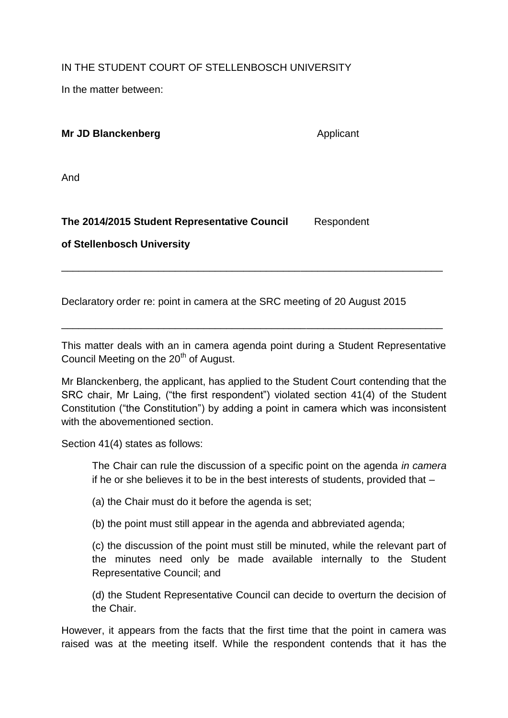IN THE STUDENT COURT OF STELLENBOSCH UNIVERSITY

In the matter between:

**Mr JD Blanckenberg** Applicant

And

## **The 2014/2015 Student Representative Council** Respondent

## **of Stellenbosch University**

Declaratory order re: point in camera at the SRC meeting of 20 August 2015

This matter deals with an in camera agenda point during a Student Representative Council Meeting on the 20<sup>th</sup> of August.

\_\_\_\_\_\_\_\_\_\_\_\_\_\_\_\_\_\_\_\_\_\_\_\_\_\_\_\_\_\_\_\_\_\_\_\_\_\_\_\_\_\_\_\_\_\_\_\_\_\_\_\_\_\_\_\_\_\_\_\_\_\_\_\_\_\_\_

\_\_\_\_\_\_\_\_\_\_\_\_\_\_\_\_\_\_\_\_\_\_\_\_\_\_\_\_\_\_\_\_\_\_\_\_\_\_\_\_\_\_\_\_\_\_\_\_\_\_\_\_\_\_\_\_\_\_\_\_\_\_\_\_\_\_\_

Mr Blanckenberg, the applicant, has applied to the Student Court contending that the SRC chair, Mr Laing, ("the first respondent") violated section 41(4) of the Student Constitution ("the Constitution") by adding a point in camera which was inconsistent with the abovementioned section

Section 41(4) states as follows:

The Chair can rule the discussion of a specific point on the agenda *in camera*  if he or she believes it to be in the best interests of students, provided that –

(a) the Chair must do it before the agenda is set;

(b) the point must still appear in the agenda and abbreviated agenda;

(c) the discussion of the point must still be minuted, while the relevant part of the minutes need only be made available internally to the Student Representative Council; and

(d) the Student Representative Council can decide to overturn the decision of the Chair.

However, it appears from the facts that the first time that the point in camera was raised was at the meeting itself. While the respondent contends that it has the